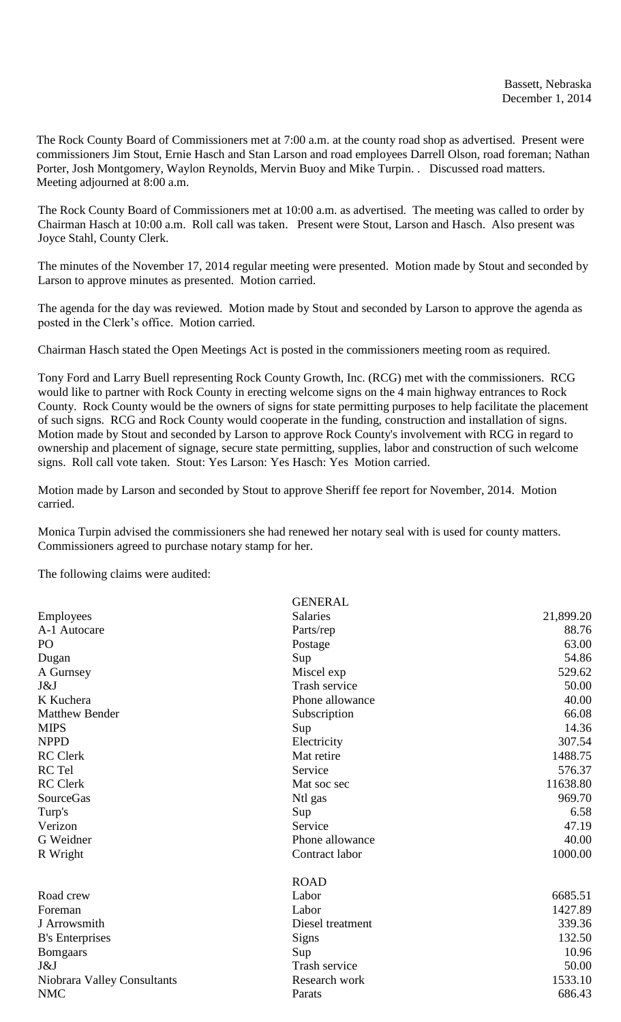The Rock County Board of Commissioners met at 7:00 a.m. at the county road shop as advertised. Present were commissioners Jim Stout, Ernie Hasch and Stan Larson and road employees Darrell Olson, road foreman; Nathan Porter, Josh Montgomery, Waylon Reynolds, Mervin Buoy and Mike Turpin. . Discussed road matters. Meeting adjourned at 8:00 a.m.

The Rock County Board of Commissioners met at 10:00 a.m. as advertised. The meeting was called to order by Chairman Hasch at 10:00 a.m. Roll call was taken. Present were Stout, Larson and Hasch. Also present was Joyce Stahl, County Clerk.

The minutes of the November 17, 2014 regular meeting were presented. Motion made by Stout and seconded by Larson to approve minutes as presented. Motion carried.

The agenda for the day was reviewed. Motion made by Stout and seconded by Larson to approve the agenda as posted in the Clerk's office. Motion carried.

Chairman Hasch stated the Open Meetings Act is posted in the commissioners meeting room as required.

Tony Ford and Larry Buell representing Rock County Growth, Inc. (RCG) met with the commissioners. RCG would like to partner with Rock County in erecting welcome signs on the 4 main highway entrances to Rock County. Rock County would be the owners of signs for state permitting purposes to help facilitate the placement of such signs. RCG and Rock County would cooperate in the funding, construction and installation of signs. Motion made by Stout and seconded by Larson to approve Rock County's involvement with RCG in regard to ownership and placement of signage, secure state permitting, supplies, labor and construction of such welcome signs. Roll call vote taken. Stout: Yes Larson: Yes Hasch: Yes Motion carried.

Motion made by Larson and seconded by Stout to approve Sheriff fee report for November, 2014. Motion carried.

Monica Turpin advised the commissioners she had renewed her notary seal with is used for county matters. Commissioners agreed to purchase notary stamp for her.

The following claims were audited:

|                             | <b>GENERAL</b>       |           |
|-----------------------------|----------------------|-----------|
| <b>Employees</b>            | <b>Salaries</b>      | 21,899.20 |
| A-1 Autocare                | Parts/rep            | 88.76     |
| PO                          | Postage              | 63.00     |
| Dugan                       | Sup                  | 54.86     |
| A Gurnsey                   | Miscel exp           | 529.62    |
| J&J                         | <b>Trash service</b> | 50.00     |
| K Kuchera                   | Phone allowance      | 40.00     |
| <b>Matthew Bender</b>       | Subscription         | 66.08     |
| <b>MIPS</b>                 | Sup                  | 14.36     |
| <b>NPPD</b>                 | Electricity          | 307.54    |
| <b>RC</b> Clerk             | Mat retire           | 1488.75   |
| RC Tel                      | Service              | 576.37    |
| <b>RC</b> Clerk             | Mat soc sec          | 11638.80  |
| <b>SourceGas</b>            | Ntl gas              | 969.70    |
| Turp's                      | Sup                  | 6.58      |
| Verizon                     | Service              | 47.19     |
| G Weidner                   | Phone allowance      | 40.00     |
| R Wright                    | Contract labor       | 1000.00   |
|                             | <b>ROAD</b>          |           |
| Road crew                   | Labor                | 6685.51   |
| Foreman                     | Labor                | 1427.89   |
| J Arrowsmith                | Diesel treatment     | 339.36    |
| <b>B</b> 's Enterprises     | Signs                | 132.50    |
| <b>Bomgaars</b>             | Sup                  | 10.96     |
| J&J                         | Trash service        | 50.00     |
| Niobrara Valley Consultants | Research work        | 1533.10   |
| <b>NMC</b>                  | Parats               | 686.43    |